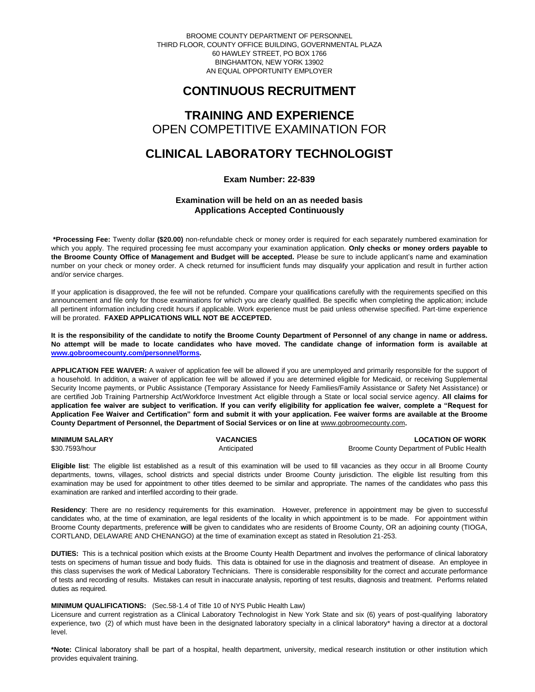BROOME COUNTY DEPARTMENT OF PERSONNEL THIRD FLOOR, COUNTY OFFICE BUILDING, GOVERNMENTAL PLAZA 60 HAWLEY STREET, PO BOX 1766 BINGHAMTON, NEW YORK 13902 AN EQUAL OPPORTUNITY EMPLOYER

# **CONTINUOUS RECRUITMENT**

# **TRAINING AND EXPERIENCE** OPEN COMPETITIVE EXAMINATION FOR

# **CLINICAL LABORATORY TECHNOLOGIST**

## **Exam Number: 22-839**

## **Examination will be held on an as needed basis Applications Accepted Continuously**

**\*Processing Fee:** Twenty dollar **(\$20.00)** non-refundable check or money order is required for each separately numbered examination for which you apply. The required processing fee must accompany your examination application. **Only checks or money orders payable to the Broome County Office of Management and Budget will be accepted.** Please be sure to include applicant's name and examination number on your check or money order. A check returned for insufficient funds may disqualify your application and result in further action and/or service charges.

If your application is disapproved, the fee will not be refunded. Compare your qualifications carefully with the requirements specified on this announcement and file only for those examinations for which you are clearly qualified. Be specific when completing the application; include all pertinent information including credit hours if applicable. Work experience must be paid unless otherwise specified. Part-time experience will be prorated. **FAXED APPLICATIONS WILL NOT BE ACCEPTED.** 

**It is the responsibility of the candidate to notify the Broome County Department of Personnel of any change in name or address. No attempt will be made to locate candidates who have moved. The candidate change of information form is available at [www.gobroomecounty.com/personnel/forms.](http://www.gobroomecounty.com/personnel/forms)**

**APPLICATION FEE WAIVER:** A waiver of application fee will be allowed if you are unemployed and primarily responsible for the support of a household. In addition, a waiver of application fee will be allowed if you are determined eligible for Medicaid, or receiving Supplemental Security Income payments, or Public Assistance (Temporary Assistance for Needy Families/Family Assistance or Safety Net Assistance) or are certified Job Training Partnership Act/Workforce Investment Act eligible through a State or local social service agency. **All claims for application fee waiver are subject to verification. If you can verify eligibility for application fee waiver, complete a "Request for Application Fee Waiver and Certification" form and submit it with your application. Fee waiver forms are available at the Broome**  County Department of Personnel, the Department of Social Services or on line at **www.gobroomecounty.com**.

| MINIMUM SALARY | <b>VACANCIES</b> | <b>LOCATION OF WORK</b>                   |
|----------------|------------------|-------------------------------------------|
| \$30.7593/hour | Anticipated      | Broome County Department of Public Health |

**Eligible list**: The eligible list established as a result of this examination will be used to fill vacancies as they occur in all Broome County departments, towns, villages, school districts and special districts under Broome County jurisdiction. The eligible list resulting from this examination may be used for appointment to other titles deemed to be similar and appropriate. The names of the candidates who pass this examination are ranked and interfiled according to their grade.

**Residency**: There are no residency requirements for this examination. However, preference in appointment may be given to successful candidates who, at the time of examination, are legal residents of the locality in which appointment is to be made. For appointment within Broome County departments, preference **will** be given to candidates who are residents of Broome County, OR an adjoining county (TIOGA, CORTLAND, DELAWARE AND CHENANGO) at the time of examination except as stated in Resolution 21-253.

**DUTIES:** This is a technical position which exists at the Broome County Health Department and involves the performance of clinical laboratory tests on specimens of human tissue and body fluids. This data is obtained for use in the diagnosis and treatment of disease. An employee in this class supervises the work of Medical Laboratory Technicians. There is considerable responsibility for the correct and accurate performance of tests and recording of results. Mistakes can result in inaccurate analysis, reporting of test results, diagnosis and treatment. Performs related duties as required.

### **MINIMUM QUALIFICATIONS:** (Sec.58-1.4 of Title 10 of NYS Public Health Law)

Licensure and current registration as a Clinical Laboratory Technologist in New York State and six (6) years of post-qualifying laboratory experience, two (2) of which must have been in the designated laboratory specialty in a clinical laboratory\* having a director at a doctoral level.

**\*Note:** Clinical laboratory shall be part of a hospital, health department, university, medical research institution or other institution which provides equivalent training.